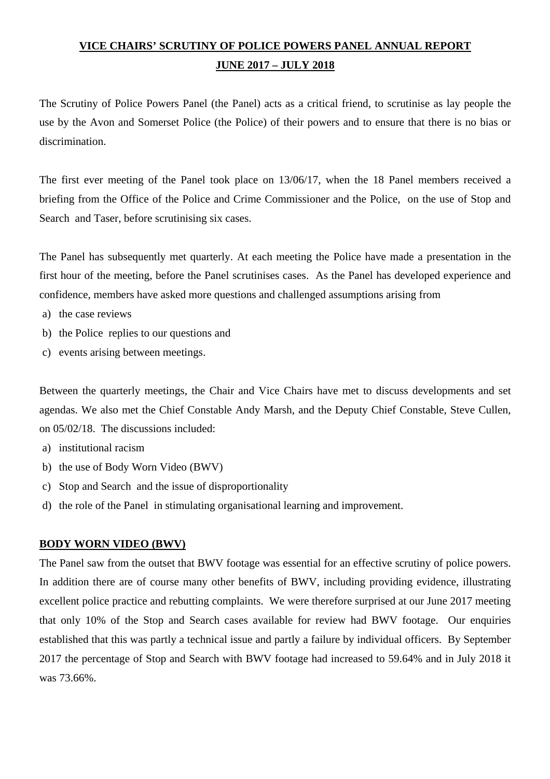# **VICE CHAIRS' SCRUTINY OF POLICE POWERS PANEL ANNUAL REPORT JUNE 2017 – JULY 2018**

The Scrutiny of Police Powers Panel (the Panel) acts as a critical friend, to scrutinise as lay people the use by the Avon and Somerset Police (the Police) of their powers and to ensure that there is no bias or discrimination.

The first ever meeting of the Panel took place on 13/06/17, when the 18 Panel members received a briefing from the Office of the Police and Crime Commissioner and the Police, on the use of Stop and Search and Taser, before scrutinising six cases.

The Panel has subsequently met quarterly. At each meeting the Police have made a presentation in the first hour of the meeting, before the Panel scrutinises cases. As the Panel has developed experience and confidence, members have asked more questions and challenged assumptions arising from

- a) the case reviews
- b) the Police replies to our questions and
- c) events arising between meetings.

Between the quarterly meetings, the Chair and Vice Chairs have met to discuss developments and set agendas. We also met the Chief Constable Andy Marsh, and the Deputy Chief Constable, Steve Cullen, on 05/02/18. The discussions included:

- a) institutional racism
- b) the use of Body Worn Video (BWV)
- c) Stop and Search and the issue of disproportionality
- d) the role of the Panel in stimulating organisational learning and improvement.

#### **BODY WORN VIDEO (BWV)**

The Panel saw from the outset that BWV footage was essential for an effective scrutiny of police powers. In addition there are of course many other benefits of BWV, including providing evidence, illustrating excellent police practice and rebutting complaints. We were therefore surprised at our June 2017 meeting that only 10% of the Stop and Search cases available for review had BWV footage. Our enquiries established that this was partly a technical issue and partly a failure by individual officers. By September 2017 the percentage of Stop and Search with BWV footage had increased to 59.64% and in July 2018 it was 73.66%.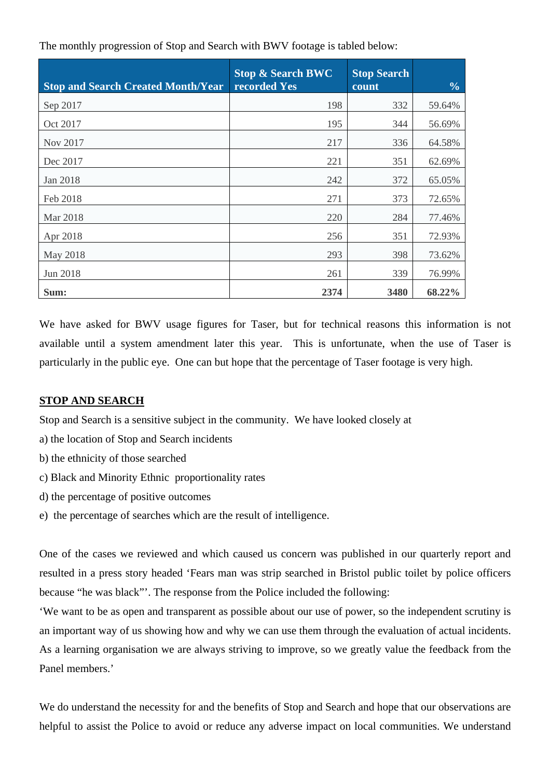| <b>Stop and Search Created Month/Year</b> | <b>Stop &amp; Search BWC</b><br>recorded Yes | <b>Stop Search</b><br>count | $\frac{0}{0}$ |
|-------------------------------------------|----------------------------------------------|-----------------------------|---------------|
| Sep 2017                                  | 198                                          | 332                         | 59.64%        |
| Oct 2017                                  | 195                                          | 344                         | 56.69%        |
| Nov 2017                                  | 217                                          | 336                         | 64.58%        |
| Dec 2017                                  | 221                                          | 351                         | 62.69%        |
| Jan 2018                                  | 242                                          | 372                         | 65.05%        |
| Feb 2018                                  | 271                                          | 373                         | 72.65%        |
| Mar 2018                                  | 220                                          | 284                         | 77.46%        |
| Apr 2018                                  | 256                                          | 351                         | 72.93%        |
| May 2018                                  | 293                                          | 398                         | 73.62%        |
| Jun 2018                                  | 261                                          | 339                         | 76.99%        |
| Sum:                                      | 2374                                         | 3480                        | 68.22%        |

The monthly progression of Stop and Search with BWV footage is tabled below:

We have asked for BWV usage figures for Taser, but for technical reasons this information is not available until a system amendment later this year. This is unfortunate, when the use of Taser is particularly in the public eye. One can but hope that the percentage of Taser footage is very high.

## **STOP AND SEARCH**

Stop and Search is a sensitive subject in the community. We have looked closely at

- a) the location of Stop and Search incidents
- b) the ethnicity of those searched
- c) Black and Minority Ethnic proportionality rates
- d) the percentage of positive outcomes
- e) the percentage of searches which are the result of intelligence.

One of the cases we reviewed and which caused us concern was published in our quarterly report and resulted in a press story headed 'Fears man was strip searched in Bristol public toilet by police officers because "he was black"'. The response from the Police included the following:

'We want to be as open and transparent as possible about our use of power, so the independent scrutiny is an important way of us showing how and why we can use them through the evaluation of actual incidents. As a learning organisation we are always striving to improve, so we greatly value the feedback from the Panel members.'

We do understand the necessity for and the benefits of Stop and Search and hope that our observations are helpful to assist the Police to avoid or reduce any adverse impact on local communities. We understand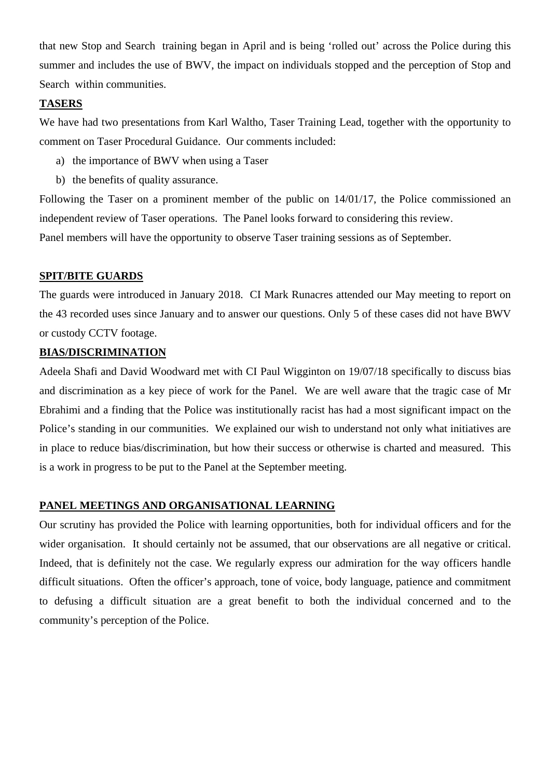that new Stop and Search training began in April and is being 'rolled out' across the Police during this summer and includes the use of BWV, the impact on individuals stopped and the perception of Stop and Search within communities.

#### **TASERS**

We have had two presentations from Karl Waltho, Taser Training Lead, together with the opportunity to comment on Taser Procedural Guidance. Our comments included:

- a) the importance of BWV when using a Taser
- b) the benefits of quality assurance.

Following the Taser on a prominent member of the public on 14/01/17, the Police commissioned an independent review of Taser operations. The Panel looks forward to considering this review. Panel members will have the opportunity to observe Taser training sessions as of September.

### **SPIT/BITE GUARDS**

The guards were introduced in January 2018. CI Mark Runacres attended our May meeting to report on the 43 recorded uses since January and to answer our questions. Only 5 of these cases did not have BWV or custody CCTV footage.

## **BIAS/DISCRIMINATION**

Adeela Shafi and David Woodward met with CI Paul Wigginton on 19/07/18 specifically to discuss bias and discrimination as a key piece of work for the Panel. We are well aware that the tragic case of Mr Ebrahimi and a finding that the Police was institutionally racist has had a most significant impact on the Police's standing in our communities. We explained our wish to understand not only what initiatives are in place to reduce bias/discrimination, but how their success or otherwise is charted and measured. This is a work in progress to be put to the Panel at the September meeting.

### **PANEL MEETINGS AND ORGANISATIONAL LEARNING**

Our scrutiny has provided the Police with learning opportunities, both for individual officers and for the wider organisation. It should certainly not be assumed, that our observations are all negative or critical. Indeed, that is definitely not the case. We regularly express our admiration for the way officers handle difficult situations. Often the officer's approach, tone of voice, body language, patience and commitment to defusing a difficult situation are a great benefit to both the individual concerned and to the community's perception of the Police.